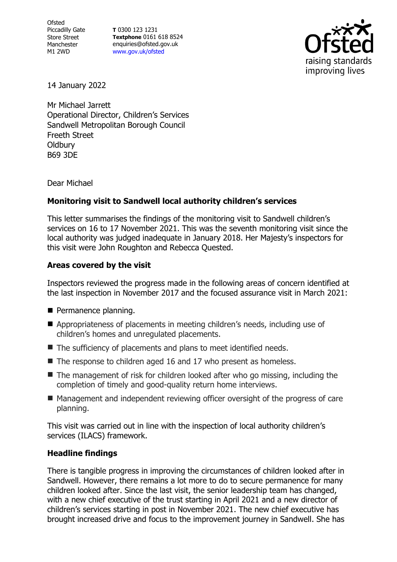**Ofsted** Piccadilly Gate Store Street Manchester M1 2WD

**T** 0300 123 1231 **Textphone** 0161 618 8524 enquiries@ofsted.gov.uk [www.gov.uk/ofsted](http://www.gov.uk/ofsted)



14 January 2022

Mr Michael Jarrett Operational Director, Children's Services Sandwell Metropolitan Borough Council Freeth Street **Oldbury** B69 3DE

Dear Michael

# **Monitoring visit to Sandwell local authority children's services**

This letter summarises the findings of the monitoring visit to Sandwell children's services on 16 to 17 November 2021. This was the seventh monitoring visit since the local authority was judged inadequate in January 2018. Her Majesty's inspectors for this visit were John Roughton and Rebecca Quested.

### **Areas covered by the visit**

Inspectors reviewed the progress made in the following areas of concern identified at the last inspection in November 2017 and the focused assurance visit in March 2021:

- Permanence planning.
- Appropriateness of placements in meeting children's needs, including use of children's homes and unregulated placements.
- The sufficiency of placements and plans to meet identified needs.
- The response to children aged 16 and 17 who present as homeless.
- $\blacksquare$  The management of risk for children looked after who go missing, including the completion of timely and good-quality return home interviews.
- Management and independent reviewing officer oversight of the progress of care planning.

This visit was carried out in line with the inspection of local authority children's services (ILACS) framework.

# **Headline findings**

There is tangible progress in improving the circumstances of children looked after in Sandwell. However, there remains a lot more to do to secure permanence for many children looked after. Since the last visit, the senior leadership team has changed, with a new chief executive of the trust starting in April 2021 and a new director of children's services starting in post in November 2021. The new chief executive has brought increased drive and focus to the improvement journey in Sandwell. She has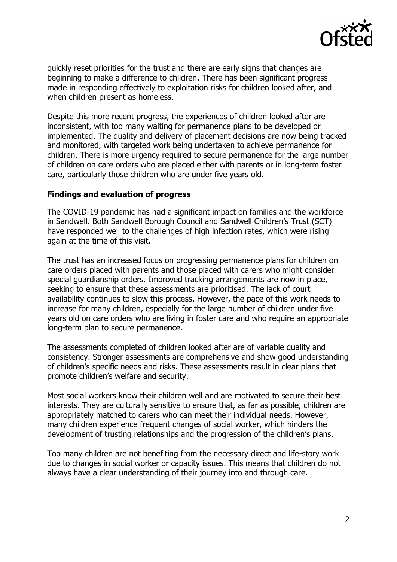

quickly reset priorities for the trust and there are early signs that changes are beginning to make a difference to children. There has been significant progress made in responding effectively to exploitation risks for children looked after, and when children present as homeless.

Despite this more recent progress, the experiences of children looked after are inconsistent, with too many waiting for permanence plans to be developed or implemented. The quality and delivery of placement decisions are now being tracked and monitored, with targeted work being undertaken to achieve permanence for children. There is more urgency required to secure permanence for the large number of children on care orders who are placed either with parents or in long-term foster care, particularly those children who are under five years old.

#### **Findings and evaluation of progress**

The COVID-19 pandemic has had a significant impact on families and the workforce in Sandwell. Both Sandwell Borough Council and Sandwell Children's Trust (SCT) have responded well to the challenges of high infection rates, which were rising again at the time of this visit.

The trust has an increased focus on progressing permanence plans for children on care orders placed with parents and those placed with carers who might consider special guardianship orders. Improved tracking arrangements are now in place, seeking to ensure that these assessments are prioritised. The lack of court availability continues to slow this process. However, the pace of this work needs to increase for many children, especially for the large number of children under five years old on care orders who are living in foster care and who require an appropriate long-term plan to secure permanence.

The assessments completed of children looked after are of variable quality and consistency. Stronger assessments are comprehensive and show good understanding of children's specific needs and risks. These assessments result in clear plans that promote children's welfare and security.

Most social workers know their children well and are motivated to secure their best interests. They are culturally sensitive to ensure that, as far as possible, children are appropriately matched to carers who can meet their individual needs. However, many children experience frequent changes of social worker, which hinders the development of trusting relationships and the progression of the children's plans.

Too many children are not benefiting from the necessary direct and life-story work due to changes in social worker or capacity issues. This means that children do not always have a clear understanding of their journey into and through care.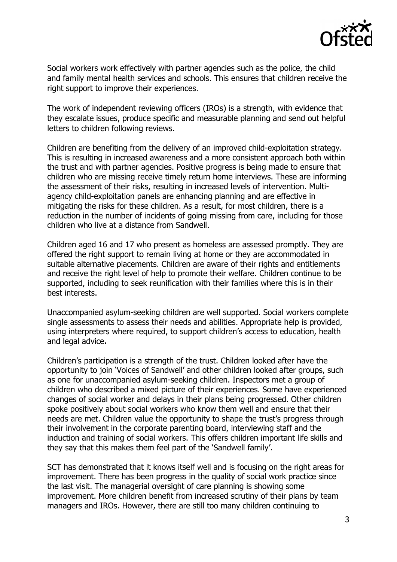

Social workers work effectively with partner agencies such as the police, the child and family mental health services and schools. This ensures that children receive the right support to improve their experiences.

The work of independent reviewing officers (IROs) is a strength, with evidence that they escalate issues, produce specific and measurable planning and send out helpful letters to children following reviews.

Children are benefiting from the delivery of an improved child-exploitation strategy. This is resulting in increased awareness and a more consistent approach both within the trust and with partner agencies. Positive progress is being made to ensure that children who are missing receive timely return home interviews. These are informing the assessment of their risks, resulting in increased levels of intervention. Multiagency child-exploitation panels are enhancing planning and are effective in mitigating the risks for these children. As a result, for most children, there is a reduction in the number of incidents of going missing from care, including for those children who live at a distance from Sandwell.

Children aged 16 and 17 who present as homeless are assessed promptly. They are offered the right support to remain living at home or they are accommodated in suitable alternative placements. Children are aware of their rights and entitlements and receive the right level of help to promote their welfare. Children continue to be supported, including to seek reunification with their families where this is in their best interests.

Unaccompanied asylum-seeking children are well supported. Social workers complete single assessments to assess their needs and abilities. Appropriate help is provided, using interpreters where required, to support children's access to education, health and legal advice**.**

Children's participation is a strength of the trust. Children looked after have the opportunity to join 'Voices of Sandwell' and other children looked after groups, such as one for unaccompanied asylum-seeking children. Inspectors met a group of children who described a mixed picture of their experiences. Some have experienced changes of social worker and delays in their plans being progressed. Other children spoke positively about social workers who know them well and ensure that their needs are met. Children value the opportunity to shape the trust's progress through their involvement in the corporate parenting board, interviewing staff and the induction and training of social workers. This offers children important life skills and they say that this makes them feel part of the 'Sandwell family'.

SCT has demonstrated that it knows itself well and is focusing on the right areas for improvement. There has been progress in the quality of social work practice since the last visit. The managerial oversight of care planning is showing some improvement. More children benefit from increased scrutiny of their plans by team managers and IROs. However, there are still too many children continuing to